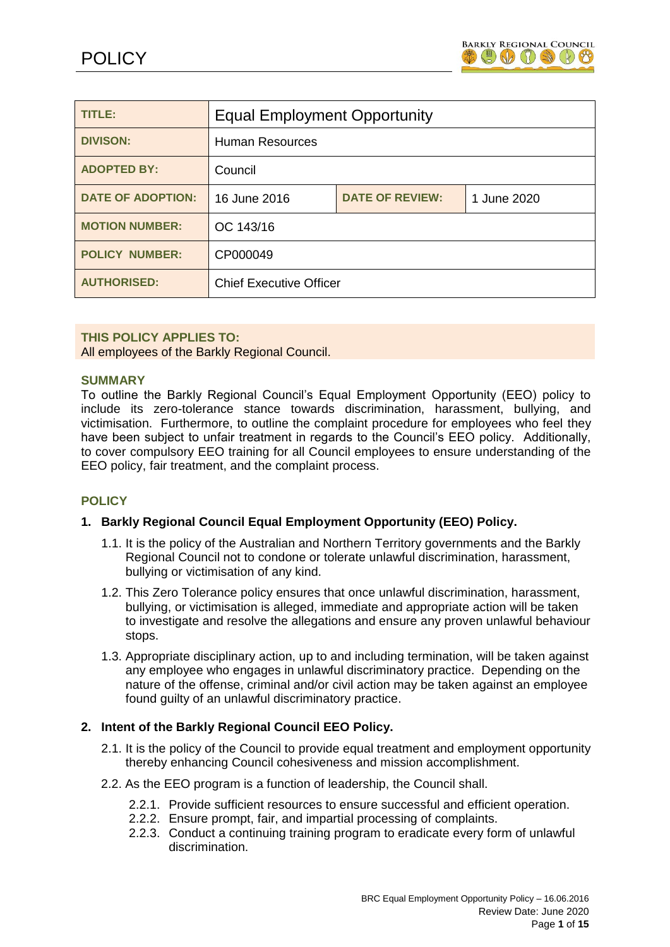

| TITLE:                   | <b>Equal Employment Opportunity</b> |                        |             |
|--------------------------|-------------------------------------|------------------------|-------------|
| <b>DIVISON:</b>          | <b>Human Resources</b>              |                        |             |
| <b>ADOPTED BY:</b>       | Council                             |                        |             |
| <b>DATE OF ADOPTION:</b> | 16 June 2016                        | <b>DATE OF REVIEW:</b> | 1 June 2020 |
| <b>MOTION NUMBER:</b>    | OC 143/16                           |                        |             |
| <b>POLICY NUMBER:</b>    | CP000049                            |                        |             |
| <b>AUTHORISED:</b>       | <b>Chief Executive Officer</b>      |                        |             |

### **THIS POLICY APPLIES TO:**

All employees of the Barkly Regional Council.

### **SUMMARY**

To outline the Barkly Regional Council's Equal Employment Opportunity (EEO) policy to include its zero-tolerance stance towards discrimination, harassment, bullying, and victimisation. Furthermore, to outline the complaint procedure for employees who feel they have been subject to unfair treatment in regards to the Council's EEO policy. Additionally, to cover compulsory EEO training for all Council employees to ensure understanding of the EEO policy, fair treatment, and the complaint process.

## **POLICY**

## **1. Barkly Regional Council Equal Employment Opportunity (EEO) Policy.**

- 1.1. It is the policy of the Australian and Northern Territory governments and the Barkly Regional Council not to condone or tolerate unlawful discrimination, harassment, bullying or victimisation of any kind.
- 1.2. This Zero Tolerance policy ensures that once unlawful discrimination, harassment, bullying, or victimisation is alleged, immediate and appropriate action will be taken to investigate and resolve the allegations and ensure any proven unlawful behaviour stops.
- 1.3. Appropriate disciplinary action, up to and including termination, will be taken against any employee who engages in unlawful discriminatory practice. Depending on the nature of the offense, criminal and/or civil action may be taken against an employee found guilty of an unlawful discriminatory practice.

### **2. Intent of the Barkly Regional Council EEO Policy.**

- 2.1. It is the policy of the Council to provide equal treatment and employment opportunity thereby enhancing Council cohesiveness and mission accomplishment.
- 2.2. As the EEO program is a function of leadership, the Council shall.
	- 2.2.1. Provide sufficient resources to ensure successful and efficient operation.
	- 2.2.2. Ensure prompt, fair, and impartial processing of complaints.
	- 2.2.3. Conduct a continuing training program to eradicate every form of unlawful discrimination.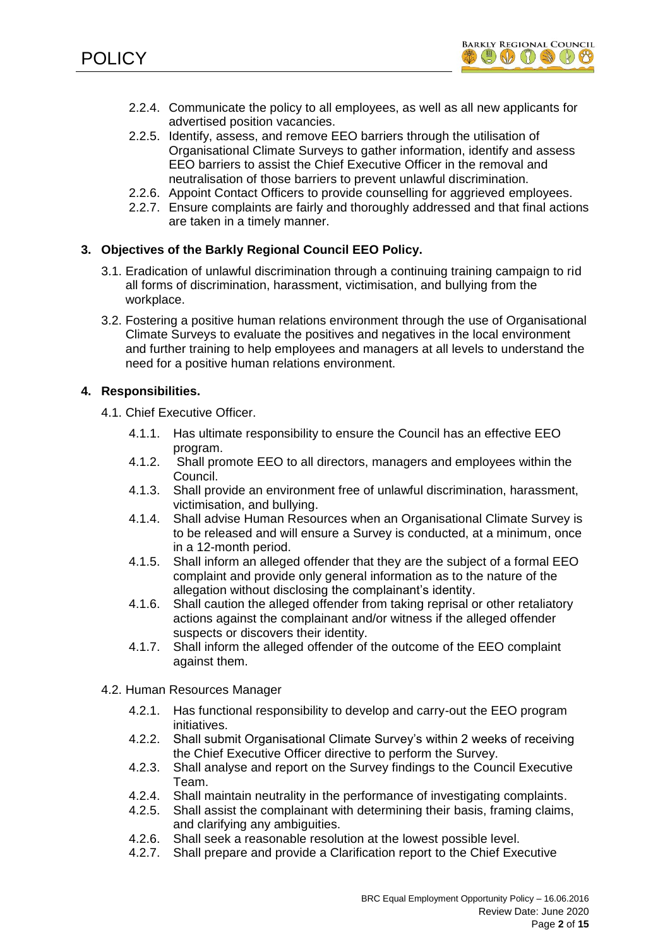

- 2.2.4. Communicate the policy to all employees, as well as all new applicants for advertised position vacancies.
- 2.2.5. Identify, assess, and remove EEO barriers through the utilisation of Organisational Climate Surveys to gather information, identify and assess EEO barriers to assist the Chief Executive Officer in the removal and neutralisation of those barriers to prevent unlawful discrimination.
- 2.2.6. Appoint Contact Officers to provide counselling for aggrieved employees.
- 2.2.7. Ensure complaints are fairly and thoroughly addressed and that final actions are taken in a timely manner.

# **3. Objectives of the Barkly Regional Council EEO Policy.**

- 3.1. Eradication of unlawful discrimination through a continuing training campaign to rid all forms of discrimination, harassment, victimisation, and bullying from the workplace.
- 3.2. Fostering a positive human relations environment through the use of Organisational Climate Surveys to evaluate the positives and negatives in the local environment and further training to help employees and managers at all levels to understand the need for a positive human relations environment.

## **4. Responsibilities.**

- 4.1. Chief Executive Officer.
	- 4.1.1. Has ultimate responsibility to ensure the Council has an effective EEO program.
	- 4.1.2. Shall promote EEO to all directors, managers and employees within the Council.
	- 4.1.3. Shall provide an environment free of unlawful discrimination, harassment, victimisation, and bullying.
	- 4.1.4. Shall advise Human Resources when an Organisational Climate Survey is to be released and will ensure a Survey is conducted, at a minimum, once in a 12-month period.
	- 4.1.5. Shall inform an alleged offender that they are the subject of a formal EEO complaint and provide only general information as to the nature of the allegation without disclosing the complainant's identity.
	- 4.1.6. Shall caution the alleged offender from taking reprisal or other retaliatory actions against the complainant and/or witness if the alleged offender suspects or discovers their identity.
	- 4.1.7. Shall inform the alleged offender of the outcome of the EEO complaint against them.
- 4.2. Human Resources Manager
	- 4.2.1. Has functional responsibility to develop and carry-out the EEO program initiatives.
	- 4.2.2. Shall submit Organisational Climate Survey's within 2 weeks of receiving the Chief Executive Officer directive to perform the Survey.
	- 4.2.3. Shall analyse and report on the Survey findings to the Council Executive Team.
	- 4.2.4. Shall maintain neutrality in the performance of investigating complaints.
	- 4.2.5. Shall assist the complainant with determining their basis, framing claims, and clarifying any ambiguities.
	- 4.2.6. Shall seek a reasonable resolution at the lowest possible level.
	- 4.2.7. Shall prepare and provide a Clarification report to the Chief Executive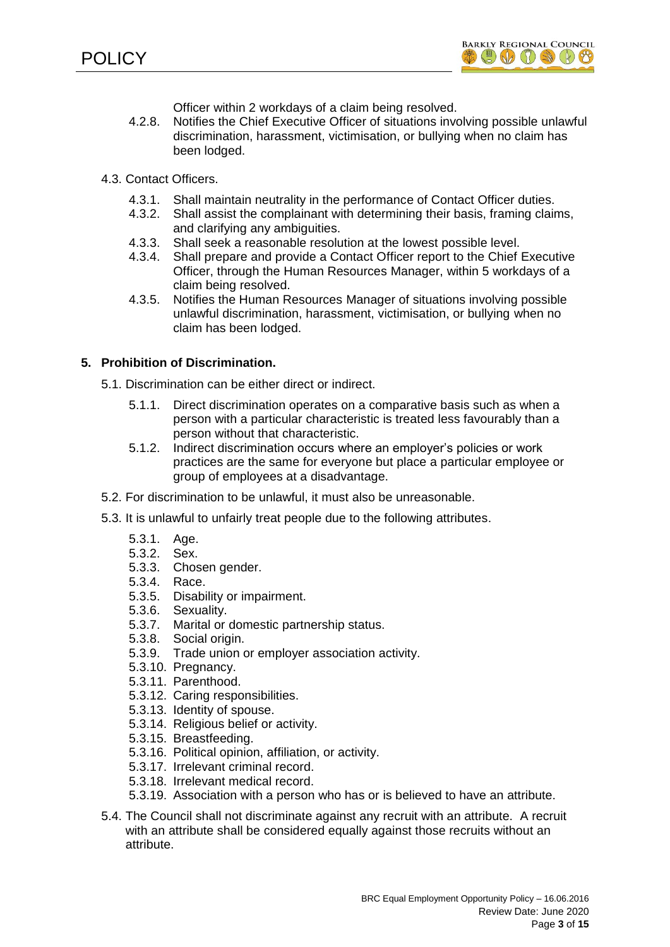

Officer within 2 workdays of a claim being resolved.

- 4.2.8. Notifies the Chief Executive Officer of situations involving possible unlawful discrimination, harassment, victimisation, or bullying when no claim has been lodged.
- 4.3. Contact Officers.
	- 4.3.1. Shall maintain neutrality in the performance of Contact Officer duties.
	- 4.3.2. Shall assist the complainant with determining their basis, framing claims, and clarifying any ambiguities.
	- 4.3.3. Shall seek a reasonable resolution at the lowest possible level.
	- 4.3.4. Shall prepare and provide a Contact Officer report to the Chief Executive Officer, through the Human Resources Manager, within 5 workdays of a claim being resolved.
	- 4.3.5. Notifies the Human Resources Manager of situations involving possible unlawful discrimination, harassment, victimisation, or bullying when no claim has been lodged.

## **5. Prohibition of Discrimination.**

- 5.1. Discrimination can be either direct or indirect.
	- 5.1.1. Direct discrimination operates on a comparative basis such as when a person with a particular characteristic is treated less favourably than a person without that characteristic.
	- 5.1.2. Indirect discrimination occurs where an employer's policies or work practices are the same for everyone but place a particular employee or group of employees at a disadvantage.
- 5.2. For discrimination to be unlawful, it must also be unreasonable.
- 5.3. It is unlawful to unfairly treat people due to the following attributes.
	- 5.3.1. Age.
	- 5.3.2. Sex.
	- 5.3.3. Chosen gender.
	- 5.3.4. Race.
	- 5.3.5. Disability or impairment.
	- 5.3.6. Sexuality.
	- 5.3.7. Marital or domestic partnership status.
	- 5.3.8. Social origin.
	- 5.3.9. Trade union or employer association activity.
	- 5.3.10. Pregnancy.
	- 5.3.11. Parenthood.
	- 5.3.12. Caring responsibilities.
	- 5.3.13. Identity of spouse.
	- 5.3.14. Religious belief or activity.
	- 5.3.15. Breastfeeding.
	- 5.3.16. Political opinion, affiliation, or activity.
	- 5.3.17. Irrelevant criminal record.
	- 5.3.18. Irrelevant medical record.
	- 5.3.19. Association with a person who has or is believed to have an attribute.
- 5.4. The Council shall not discriminate against any recruit with an attribute. A recruit with an attribute shall be considered equally against those recruits without an attribute.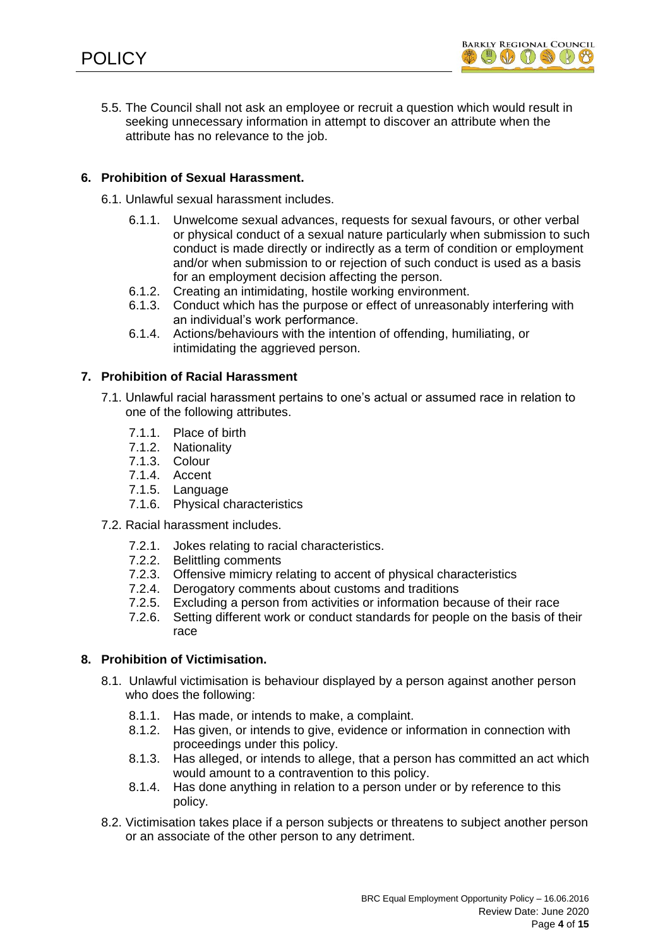

5.5. The Council shall not ask an employee or recruit a question which would result in seeking unnecessary information in attempt to discover an attribute when the attribute has no relevance to the job.

# **6. Prohibition of Sexual Harassment.**

- 6.1. Unlawful sexual harassment includes.
	- 6.1.1. Unwelcome sexual advances, requests for sexual favours, or other verbal or physical conduct of a sexual nature particularly when submission to such conduct is made directly or indirectly as a term of condition or employment and/or when submission to or rejection of such conduct is used as a basis for an employment decision affecting the person.
	- 6.1.2. Creating an intimidating, hostile working environment.
	- 6.1.3. Conduct which has the purpose or effect of unreasonably interfering with an individual's work performance.
	- 6.1.4. Actions/behaviours with the intention of offending, humiliating, or intimidating the aggrieved person.

### **7. Prohibition of Racial Harassment**

- 7.1. Unlawful racial harassment pertains to one's actual or assumed race in relation to one of the following attributes.
	- 7.1.1. Place of birth
	- 7.1.2. Nationality
	- 7.1.3. Colour
	- 7.1.4. Accent
	- 7.1.5. Language
	- 7.1.6. Physical characteristics
- 7.2. Racial harassment includes.
	- 7.2.1. Jokes relating to racial characteristics.
	- 7.2.2. Belittling comments
	- 7.2.3. Offensive mimicry relating to accent of physical characteristics
	- 7.2.4. Derogatory comments about customs and traditions
	- 7.2.5. Excluding a person from activities or information because of their race
	- 7.2.6. Setting different work or conduct standards for people on the basis of their race

# **8. Prohibition of Victimisation.**

- 8.1. Unlawful victimisation is behaviour displayed by a person against another person who does the following:
	- 8.1.1. Has made, or intends to make, a complaint.
	- 8.1.2. Has given, or intends to give, evidence or information in connection with proceedings under this policy.
	- 8.1.3. Has alleged, or intends to allege, that a person has committed an act which would amount to a contravention to this policy.
	- 8.1.4. Has done anything in relation to a person under or by reference to this policy.
- 8.2. Victimisation takes place if a person subjects or threatens to subject another person or an associate of the other person to any detriment.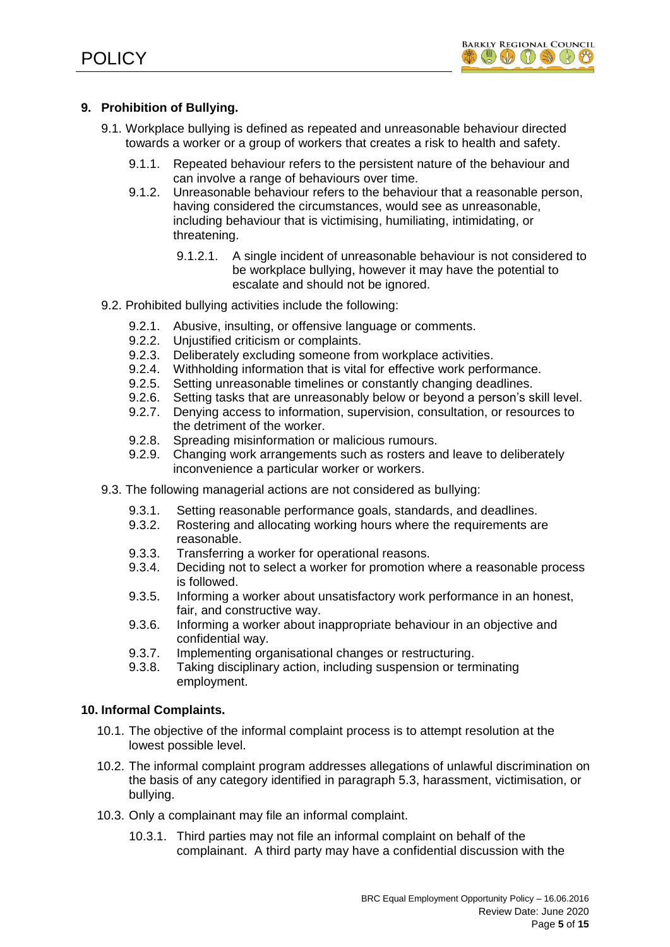

# **9. Prohibition of Bullying.**

- 9.1. Workplace bullying is defined as repeated and unreasonable behaviour directed towards a worker or a group of workers that creates a risk to health and safety.
	- 9.1.1. Repeated behaviour refers to the persistent nature of the behaviour and can involve a range of behaviours over time.
	- 9.1.2. Unreasonable behaviour refers to the behaviour that a reasonable person, having considered the circumstances, would see as unreasonable, including behaviour that is victimising, humiliating, intimidating, or threatening.
		- 9.1.2.1. A single incident of unreasonable behaviour is not considered to be workplace bullying, however it may have the potential to escalate and should not be ignored.
- 9.2. Prohibited bullying activities include the following:
	- 9.2.1. Abusive, insulting, or offensive language or comments.
	- 9.2.2. Unjustified criticism or complaints.
	- 9.2.3. Deliberately excluding someone from workplace activities.
	- 9.2.4. Withholding information that is vital for effective work performance.
	- 9.2.5. Setting unreasonable timelines or constantly changing deadlines.
	- 9.2.6. Setting tasks that are unreasonably below or beyond a person's skill level.
	- 9.2.7. Denying access to information, supervision, consultation, or resources to the detriment of the worker.
	- 9.2.8. Spreading misinformation or malicious rumours.
	- 9.2.9. Changing work arrangements such as rosters and leave to deliberately inconvenience a particular worker or workers.
- 9.3. The following managerial actions are not considered as bullying:
	- 9.3.1. Setting reasonable performance goals, standards, and deadlines.
	- 9.3.2. Rostering and allocating working hours where the requirements are reasonable.
	- 9.3.3. Transferring a worker for operational reasons.
	- 9.3.4. Deciding not to select a worker for promotion where a reasonable process is followed.
	- 9.3.5. Informing a worker about unsatisfactory work performance in an honest, fair, and constructive way.
	- 9.3.6. Informing a worker about inappropriate behaviour in an objective and confidential way.
	- 9.3.7. Implementing organisational changes or restructuring.
	- 9.3.8. Taking disciplinary action, including suspension or terminating employment.

## **10. Informal Complaints.**

- 10.1. The objective of the informal complaint process is to attempt resolution at the lowest possible level.
- 10.2. The informal complaint program addresses allegations of unlawful discrimination on the basis of any category identified in paragraph 5.3, harassment, victimisation, or bullying.
- 10.3. Only a complainant may file an informal complaint.
	- 10.3.1. Third parties may not file an informal complaint on behalf of the complainant. A third party may have a confidential discussion with the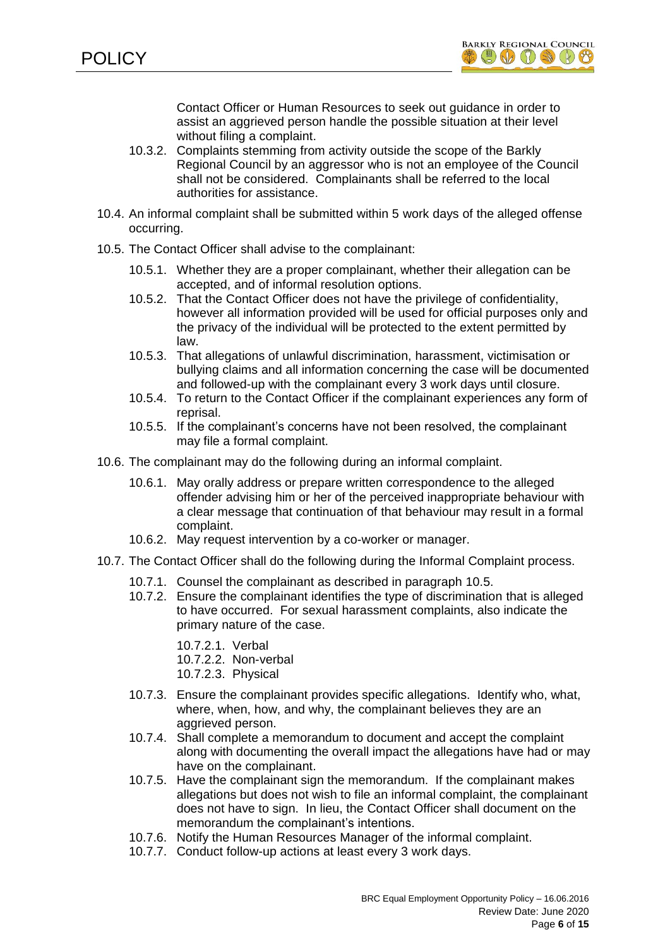

Contact Officer or Human Resources to seek out guidance in order to assist an aggrieved person handle the possible situation at their level without filing a complaint.

- 10.3.2. Complaints stemming from activity outside the scope of the Barkly Regional Council by an aggressor who is not an employee of the Council shall not be considered. Complainants shall be referred to the local authorities for assistance.
- 10.4. An informal complaint shall be submitted within 5 work days of the alleged offense occurring.
- 10.5. The Contact Officer shall advise to the complainant:
	- 10.5.1. Whether they are a proper complainant, whether their allegation can be accepted, and of informal resolution options.
	- 10.5.2. That the Contact Officer does not have the privilege of confidentiality, however all information provided will be used for official purposes only and the privacy of the individual will be protected to the extent permitted by law.
	- 10.5.3. That allegations of unlawful discrimination, harassment, victimisation or bullying claims and all information concerning the case will be documented and followed-up with the complainant every 3 work days until closure.
	- 10.5.4. To return to the Contact Officer if the complainant experiences any form of reprisal.
	- 10.5.5. If the complainant's concerns have not been resolved, the complainant may file a formal complaint.
- 10.6. The complainant may do the following during an informal complaint.
	- 10.6.1. May orally address or prepare written correspondence to the alleged offender advising him or her of the perceived inappropriate behaviour with a clear message that continuation of that behaviour may result in a formal complaint.
	- 10.6.2. May request intervention by a co-worker or manager.
- 10.7. The Contact Officer shall do the following during the Informal Complaint process.
	- 10.7.1. Counsel the complainant as described in paragraph 10.5.
	- 10.7.2. Ensure the complainant identifies the type of discrimination that is alleged to have occurred. For sexual harassment complaints, also indicate the primary nature of the case.
		- 10.7.2.1. Verbal
		- 10.7.2.2. Non-verbal
		- 10.7.2.3. Physical
	- 10.7.3. Ensure the complainant provides specific allegations. Identify who, what, where, when, how, and why, the complainant believes they are an aggrieved person.
	- 10.7.4. Shall complete a memorandum to document and accept the complaint along with documenting the overall impact the allegations have had or may have on the complainant.
	- 10.7.5. Have the complainant sign the memorandum. If the complainant makes allegations but does not wish to file an informal complaint, the complainant does not have to sign. In lieu, the Contact Officer shall document on the memorandum the complainant's intentions.
	- 10.7.6. Notify the Human Resources Manager of the informal complaint.
	- 10.7.7. Conduct follow-up actions at least every 3 work days.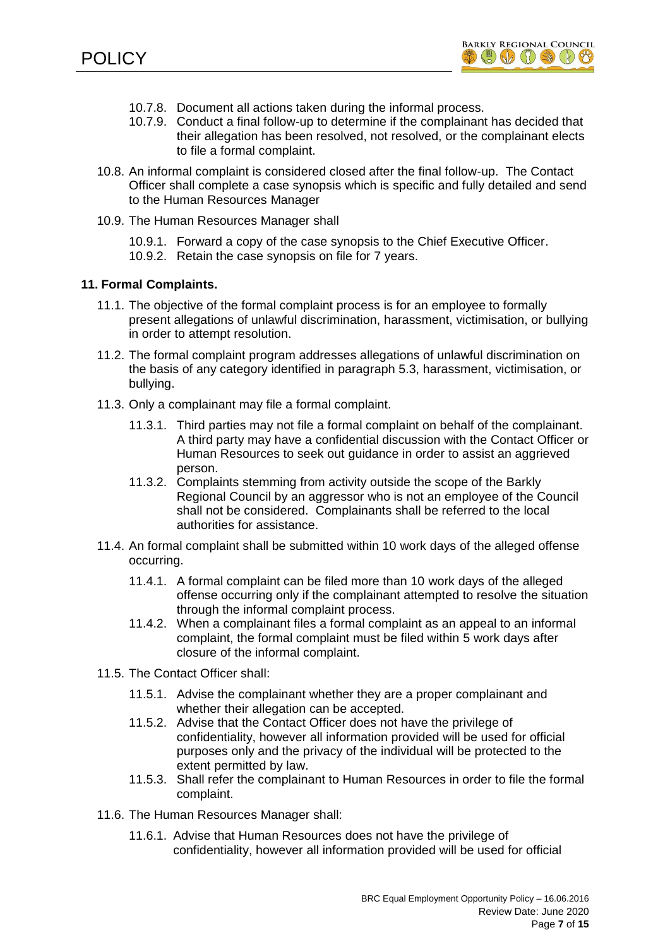

- 10.7.8. Document all actions taken during the informal process.
- 10.7.9. Conduct a final follow-up to determine if the complainant has decided that their allegation has been resolved, not resolved, or the complainant elects to file a formal complaint.
- 10.8. An informal complaint is considered closed after the final follow-up. The Contact Officer shall complete a case synopsis which is specific and fully detailed and send to the Human Resources Manager
- 10.9. The Human Resources Manager shall

10.9.1. Forward a copy of the case synopsis to the Chief Executive Officer. 10.9.2. Retain the case synopsis on file for 7 years.

### **11. Formal Complaints.**

- 11.1. The objective of the formal complaint process is for an employee to formally present allegations of unlawful discrimination, harassment, victimisation, or bullying in order to attempt resolution.
- 11.2. The formal complaint program addresses allegations of unlawful discrimination on the basis of any category identified in paragraph 5.3, harassment, victimisation, or bullying.
- 11.3. Only a complainant may file a formal complaint.
	- 11.3.1. Third parties may not file a formal complaint on behalf of the complainant. A third party may have a confidential discussion with the Contact Officer or Human Resources to seek out guidance in order to assist an aggrieved person.
	- 11.3.2. Complaints stemming from activity outside the scope of the Barkly Regional Council by an aggressor who is not an employee of the Council shall not be considered. Complainants shall be referred to the local authorities for assistance.
- 11.4. An formal complaint shall be submitted within 10 work days of the alleged offense occurring.
	- 11.4.1. A formal complaint can be filed more than 10 work days of the alleged offense occurring only if the complainant attempted to resolve the situation through the informal complaint process.
	- 11.4.2. When a complainant files a formal complaint as an appeal to an informal complaint, the formal complaint must be filed within 5 work days after closure of the informal complaint.
- 11.5. The Contact Officer shall:
	- 11.5.1. Advise the complainant whether they are a proper complainant and whether their allegation can be accepted.
	- 11.5.2. Advise that the Contact Officer does not have the privilege of confidentiality, however all information provided will be used for official purposes only and the privacy of the individual will be protected to the extent permitted by law.
	- 11.5.3. Shall refer the complainant to Human Resources in order to file the formal complaint.
- 11.6. The Human Resources Manager shall:
	- 11.6.1. Advise that Human Resources does not have the privilege of confidentiality, however all information provided will be used for official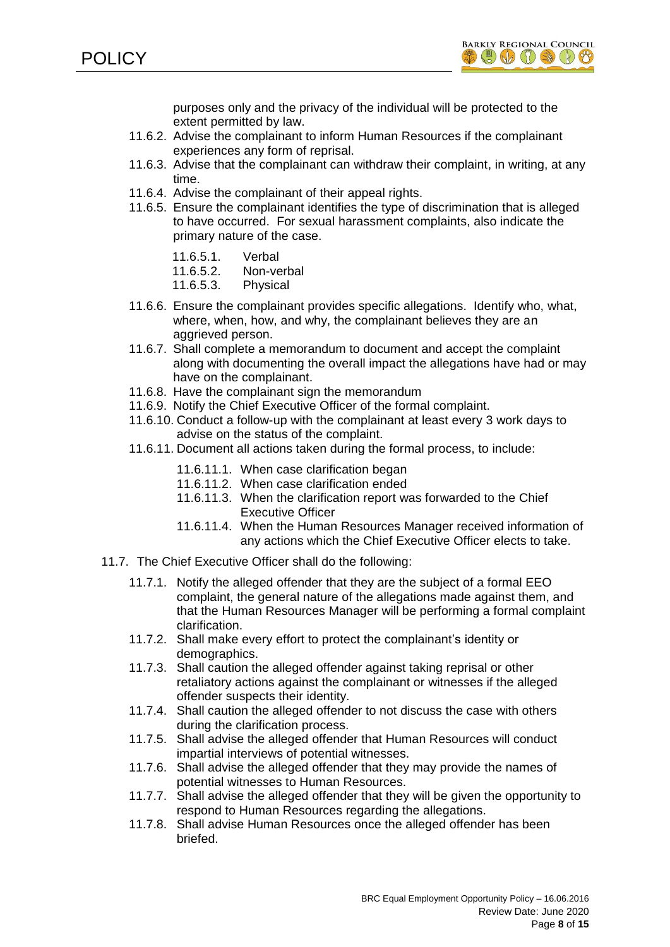

purposes only and the privacy of the individual will be protected to the extent permitted by law.

- 11.6.2. Advise the complainant to inform Human Resources if the complainant experiences any form of reprisal.
- 11.6.3. Advise that the complainant can withdraw their complaint, in writing, at any time.
- 11.6.4. Advise the complainant of their appeal rights.
- 11.6.5. Ensure the complainant identifies the type of discrimination that is alleged to have occurred. For sexual harassment complaints, also indicate the primary nature of the case.
	- 11.6.5.1. Verbal
	- 11.6.5.2. Non-verbal
	- 11.6.5.3. Physical
- 11.6.6. Ensure the complainant provides specific allegations. Identify who, what, where, when, how, and why, the complainant believes they are an aggrieved person.
- 11.6.7. Shall complete a memorandum to document and accept the complaint along with documenting the overall impact the allegations have had or may have on the complainant.
- 11.6.8. Have the complainant sign the memorandum
- 11.6.9. Notify the Chief Executive Officer of the formal complaint.
- 11.6.10. Conduct a follow-up with the complainant at least every 3 work days to advise on the status of the complaint.
- 11.6.11. Document all actions taken during the formal process, to include:
	- 11.6.11.1. When case clarification began
	- 11.6.11.2. When case clarification ended
	- 11.6.11.3. When the clarification report was forwarded to the Chief Executive Officer
	- 11.6.11.4. When the Human Resources Manager received information of any actions which the Chief Executive Officer elects to take.
- 11.7. The Chief Executive Officer shall do the following:
	- 11.7.1. Notify the alleged offender that they are the subject of a formal EEO complaint, the general nature of the allegations made against them, and that the Human Resources Manager will be performing a formal complaint clarification.
	- 11.7.2. Shall make every effort to protect the complainant's identity or demographics.
	- 11.7.3. Shall caution the alleged offender against taking reprisal or other retaliatory actions against the complainant or witnesses if the alleged offender suspects their identity.
	- 11.7.4. Shall caution the alleged offender to not discuss the case with others during the clarification process.
	- 11.7.5. Shall advise the alleged offender that Human Resources will conduct impartial interviews of potential witnesses.
	- 11.7.6. Shall advise the alleged offender that they may provide the names of potential witnesses to Human Resources.
	- 11.7.7. Shall advise the alleged offender that they will be given the opportunity to respond to Human Resources regarding the allegations.
	- 11.7.8. Shall advise Human Resources once the alleged offender has been briefed.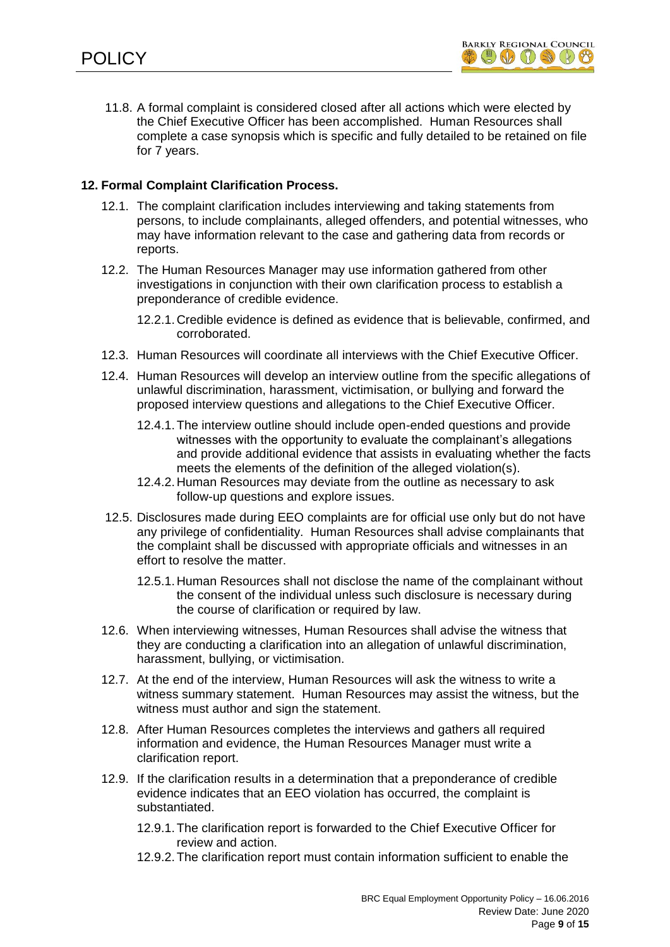

11.8. A formal complaint is considered closed after all actions which were elected by the Chief Executive Officer has been accomplished. Human Resources shall complete a case synopsis which is specific and fully detailed to be retained on file for 7 years.

# **12. Formal Complaint Clarification Process.**

- 12.1. The complaint clarification includes interviewing and taking statements from persons, to include complainants, alleged offenders, and potential witnesses, who may have information relevant to the case and gathering data from records or reports.
- 12.2. The Human Resources Manager may use information gathered from other investigations in conjunction with their own clarification process to establish a preponderance of credible evidence.
	- 12.2.1. Credible evidence is defined as evidence that is believable, confirmed, and corroborated.
- 12.3. Human Resources will coordinate all interviews with the Chief Executive Officer.
- 12.4. Human Resources will develop an interview outline from the specific allegations of unlawful discrimination, harassment, victimisation, or bullying and forward the proposed interview questions and allegations to the Chief Executive Officer.
	- 12.4.1.The interview outline should include open-ended questions and provide witnesses with the opportunity to evaluate the complainant's allegations and provide additional evidence that assists in evaluating whether the facts meets the elements of the definition of the alleged violation(s).
	- 12.4.2. Human Resources may deviate from the outline as necessary to ask follow-up questions and explore issues.
- 12.5. Disclosures made during EEO complaints are for official use only but do not have any privilege of confidentiality. Human Resources shall advise complainants that the complaint shall be discussed with appropriate officials and witnesses in an effort to resolve the matter.
	- 12.5.1. Human Resources shall not disclose the name of the complainant without the consent of the individual unless such disclosure is necessary during the course of clarification or required by law.
- 12.6. When interviewing witnesses, Human Resources shall advise the witness that they are conducting a clarification into an allegation of unlawful discrimination, harassment, bullying, or victimisation.
- 12.7. At the end of the interview, Human Resources will ask the witness to write a witness summary statement. Human Resources may assist the witness, but the witness must author and sign the statement.
- 12.8. After Human Resources completes the interviews and gathers all required information and evidence, the Human Resources Manager must write a clarification report.
- 12.9. If the clarification results in a determination that a preponderance of credible evidence indicates that an EEO violation has occurred, the complaint is substantiated.
	- 12.9.1.The clarification report is forwarded to the Chief Executive Officer for review and action.
	- 12.9.2.The clarification report must contain information sufficient to enable the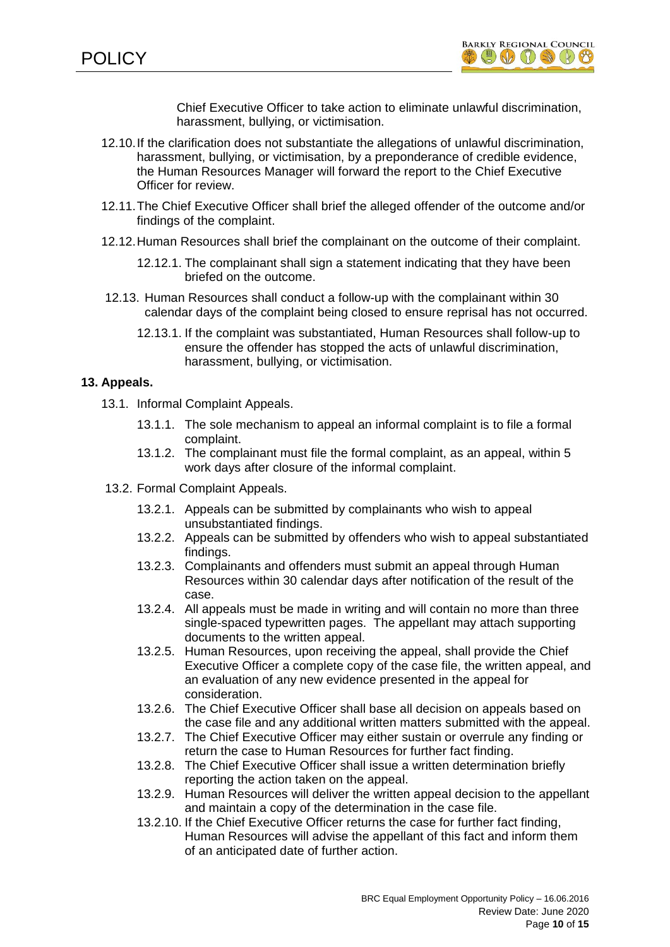

Chief Executive Officer to take action to eliminate unlawful discrimination, harassment, bullying, or victimisation.

- 12.10.If the clarification does not substantiate the allegations of unlawful discrimination, harassment, bullying, or victimisation, by a preponderance of credible evidence, the Human Resources Manager will forward the report to the Chief Executive Officer for review.
- 12.11.The Chief Executive Officer shall brief the alleged offender of the outcome and/or findings of the complaint.
- 12.12.Human Resources shall brief the complainant on the outcome of their complaint.
	- 12.12.1. The complainant shall sign a statement indicating that they have been briefed on the outcome.
- 12.13. Human Resources shall conduct a follow-up with the complainant within 30 calendar days of the complaint being closed to ensure reprisal has not occurred.
	- 12.13.1. If the complaint was substantiated, Human Resources shall follow-up to ensure the offender has stopped the acts of unlawful discrimination, harassment, bullying, or victimisation.

## **13. Appeals.**

- 13.1. Informal Complaint Appeals.
	- 13.1.1. The sole mechanism to appeal an informal complaint is to file a formal complaint.
	- 13.1.2. The complainant must file the formal complaint, as an appeal, within 5 work days after closure of the informal complaint.
- 13.2. Formal Complaint Appeals.
	- 13.2.1. Appeals can be submitted by complainants who wish to appeal unsubstantiated findings.
	- 13.2.2. Appeals can be submitted by offenders who wish to appeal substantiated findings.
	- 13.2.3. Complainants and offenders must submit an appeal through Human Resources within 30 calendar days after notification of the result of the case.
	- 13.2.4. All appeals must be made in writing and will contain no more than three single-spaced typewritten pages. The appellant may attach supporting documents to the written appeal.
	- 13.2.5. Human Resources, upon receiving the appeal, shall provide the Chief Executive Officer a complete copy of the case file, the written appeal, and an evaluation of any new evidence presented in the appeal for consideration.
	- 13.2.6. The Chief Executive Officer shall base all decision on appeals based on the case file and any additional written matters submitted with the appeal.
	- 13.2.7. The Chief Executive Officer may either sustain or overrule any finding or return the case to Human Resources for further fact finding.
	- 13.2.8. The Chief Executive Officer shall issue a written determination briefly reporting the action taken on the appeal.
	- 13.2.9. Human Resources will deliver the written appeal decision to the appellant and maintain a copy of the determination in the case file.
	- 13.2.10. If the Chief Executive Officer returns the case for further fact finding, Human Resources will advise the appellant of this fact and inform them of an anticipated date of further action.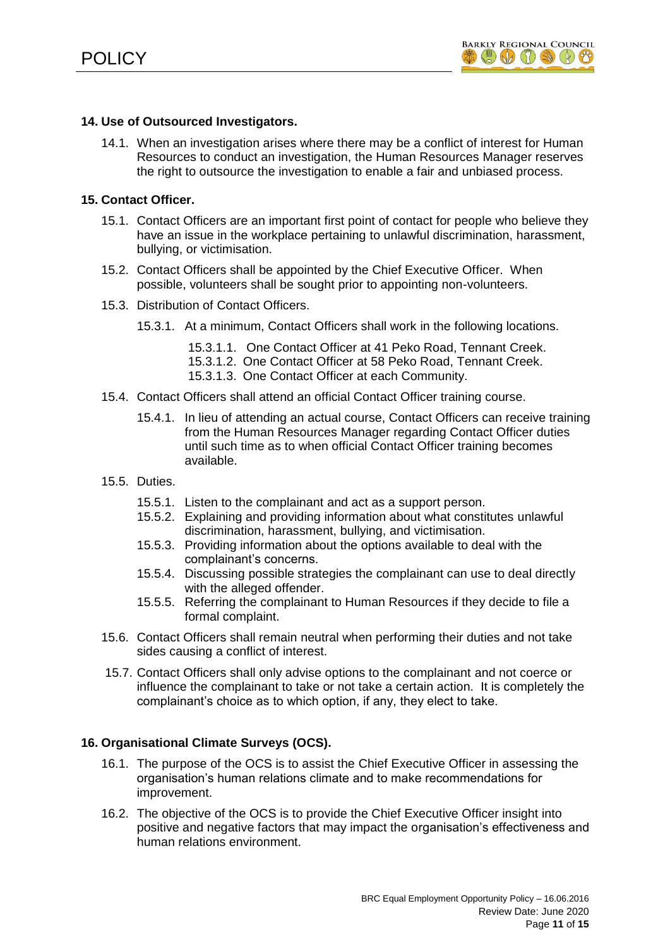# **14. Use of Outsourced Investigators.**

14.1. When an investigation arises where there may be a conflict of interest for Human Resources to conduct an investigation, the Human Resources Manager reserves the right to outsource the investigation to enable a fair and unbiased process.

# **15. Contact Officer.**

- 15.1. Contact Officers are an important first point of contact for people who believe they have an issue in the workplace pertaining to unlawful discrimination, harassment, bullying, or victimisation.
- 15.2. Contact Officers shall be appointed by the Chief Executive Officer. When possible, volunteers shall be sought prior to appointing non-volunteers.
- 15.3. Distribution of Contact Officers.
	- 15.3.1. At a minimum, Contact Officers shall work in the following locations.
		- 15.3.1.1. One Contact Officer at 41 Peko Road, Tennant Creek.
		- 15.3.1.2. One Contact Officer at 58 Peko Road, Tennant Creek.
		- 15.3.1.3. One Contact Officer at each Community.
- 15.4. Contact Officers shall attend an official Contact Officer training course.
	- 15.4.1. In lieu of attending an actual course, Contact Officers can receive training from the Human Resources Manager regarding Contact Officer duties until such time as to when official Contact Officer training becomes available.
- 15.5. Duties.
	- 15.5.1. Listen to the complainant and act as a support person.
	- 15.5.2. Explaining and providing information about what constitutes unlawful discrimination, harassment, bullying, and victimisation.
	- 15.5.3. Providing information about the options available to deal with the complainant's concerns.
	- 15.5.4. Discussing possible strategies the complainant can use to deal directly with the alleged offender.
	- 15.5.5. Referring the complainant to Human Resources if they decide to file a formal complaint.
- 15.6. Contact Officers shall remain neutral when performing their duties and not take sides causing a conflict of interest.
- 15.7. Contact Officers shall only advise options to the complainant and not coerce or influence the complainant to take or not take a certain action. It is completely the complainant's choice as to which option, if any, they elect to take.

## **16. Organisational Climate Surveys (OCS).**

- 16.1. The purpose of the OCS is to assist the Chief Executive Officer in assessing the organisation's human relations climate and to make recommendations for improvement.
- 16.2. The objective of the OCS is to provide the Chief Executive Officer insight into positive and negative factors that may impact the organisation's effectiveness and human relations environment.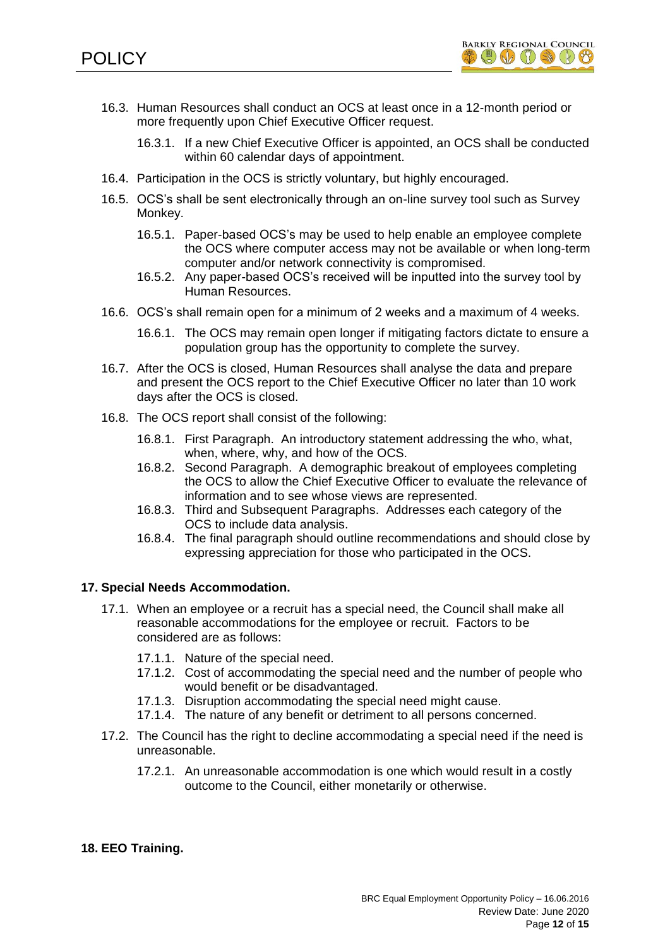

- 16.3. Human Resources shall conduct an OCS at least once in a 12-month period or more frequently upon Chief Executive Officer request.
	- 16.3.1. If a new Chief Executive Officer is appointed, an OCS shall be conducted within 60 calendar days of appointment.
- 16.4. Participation in the OCS is strictly voluntary, but highly encouraged.
- 16.5. OCS's shall be sent electronically through an on-line survey tool such as Survey Monkey.
	- 16.5.1. Paper-based OCS's may be used to help enable an employee complete the OCS where computer access may not be available or when long-term computer and/or network connectivity is compromised.
	- 16.5.2. Any paper-based OCS's received will be inputted into the survey tool by Human Resources.
- 16.6. OCS's shall remain open for a minimum of 2 weeks and a maximum of 4 weeks.
	- 16.6.1. The OCS may remain open longer if mitigating factors dictate to ensure a population group has the opportunity to complete the survey.
- 16.7. After the OCS is closed, Human Resources shall analyse the data and prepare and present the OCS report to the Chief Executive Officer no later than 10 work days after the OCS is closed.
- 16.8. The OCS report shall consist of the following:
	- 16.8.1. First Paragraph. An introductory statement addressing the who, what, when, where, why, and how of the OCS.
	- 16.8.2. Second Paragraph. A demographic breakout of employees completing the OCS to allow the Chief Executive Officer to evaluate the relevance of information and to see whose views are represented.
	- 16.8.3. Third and Subsequent Paragraphs. Addresses each category of the OCS to include data analysis.
	- 16.8.4. The final paragraph should outline recommendations and should close by expressing appreciation for those who participated in the OCS.

### **17. Special Needs Accommodation.**

- 17.1. When an employee or a recruit has a special need, the Council shall make all reasonable accommodations for the employee or recruit. Factors to be considered are as follows:
	- 17.1.1. Nature of the special need.
	- 17.1.2. Cost of accommodating the special need and the number of people who would benefit or be disadvantaged.
	- 17.1.3. Disruption accommodating the special need might cause.
	- 17.1.4. The nature of any benefit or detriment to all persons concerned.
- 17.2. The Council has the right to decline accommodating a special need if the need is unreasonable.
	- 17.2.1. An unreasonable accommodation is one which would result in a costly outcome to the Council, either monetarily or otherwise.

### **18. EEO Training.**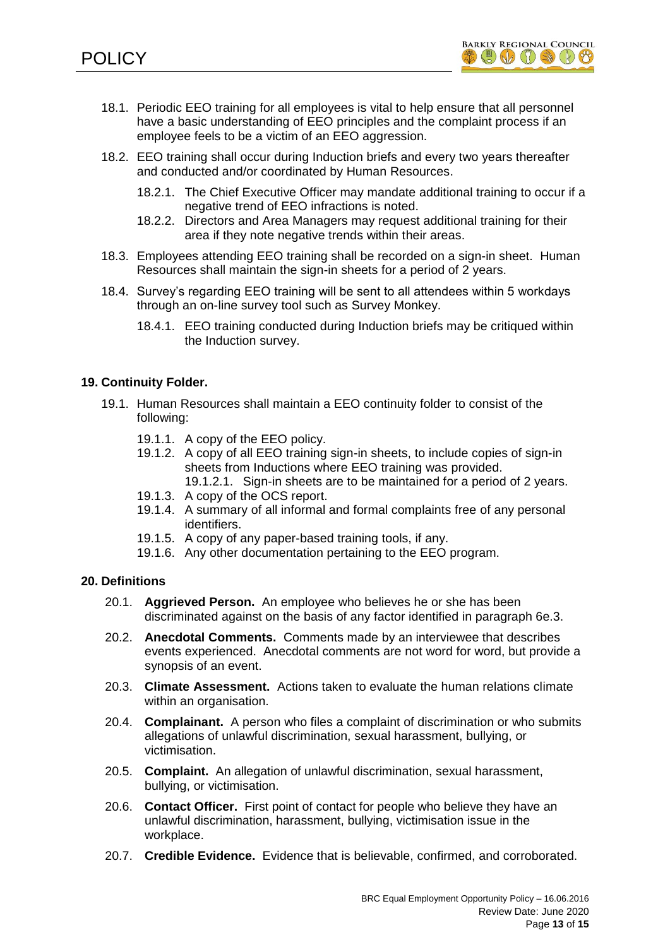

- 18.1. Periodic EEO training for all employees is vital to help ensure that all personnel have a basic understanding of EEO principles and the complaint process if an employee feels to be a victim of an EEO aggression.
- 18.2. EEO training shall occur during Induction briefs and every two years thereafter and conducted and/or coordinated by Human Resources.
	- 18.2.1. The Chief Executive Officer may mandate additional training to occur if a negative trend of EEO infractions is noted.
	- 18.2.2. Directors and Area Managers may request additional training for their area if they note negative trends within their areas.
- 18.3. Employees attending EEO training shall be recorded on a sign-in sheet. Human Resources shall maintain the sign-in sheets for a period of 2 years.
- 18.4. Survey's regarding EEO training will be sent to all attendees within 5 workdays through an on-line survey tool such as Survey Monkey.
	- 18.4.1. EEO training conducted during Induction briefs may be critiqued within the Induction survey.

## **19. Continuity Folder.**

- 19.1. Human Resources shall maintain a EEO continuity folder to consist of the following:
	- 19.1.1. A copy of the EEO policy.
	- 19.1.2. A copy of all EEO training sign-in sheets, to include copies of sign-in sheets from Inductions where EEO training was provided. 19.1.2.1. Sign-in sheets are to be maintained for a period of 2 years.
	- 19.1.3. A copy of the OCS report.
	- 19.1.4. A summary of all informal and formal complaints free of any personal identifiers.
	- 19.1.5. A copy of any paper-based training tools, if any.
	- 19.1.6. Any other documentation pertaining to the EEO program.

## **20. Definitions**

- 20.1. **Aggrieved Person.** An employee who believes he or she has been discriminated against on the basis of any factor identified in paragraph 6e.3.
- 20.2. **Anecdotal Comments.** Comments made by an interviewee that describes events experienced. Anecdotal comments are not word for word, but provide a synopsis of an event.
- 20.3. **Climate Assessment.** Actions taken to evaluate the human relations climate within an organisation.
- 20.4. **Complainant.** A person who files a complaint of discrimination or who submits allegations of unlawful discrimination, sexual harassment, bullying, or victimisation.
- 20.5. **Complaint.** An allegation of unlawful discrimination, sexual harassment, bullying, or victimisation.
- 20.6. **Contact Officer.** First point of contact for people who believe they have an unlawful discrimination, harassment, bullying, victimisation issue in the workplace.
- 20.7. **Credible Evidence.** Evidence that is believable, confirmed, and corroborated.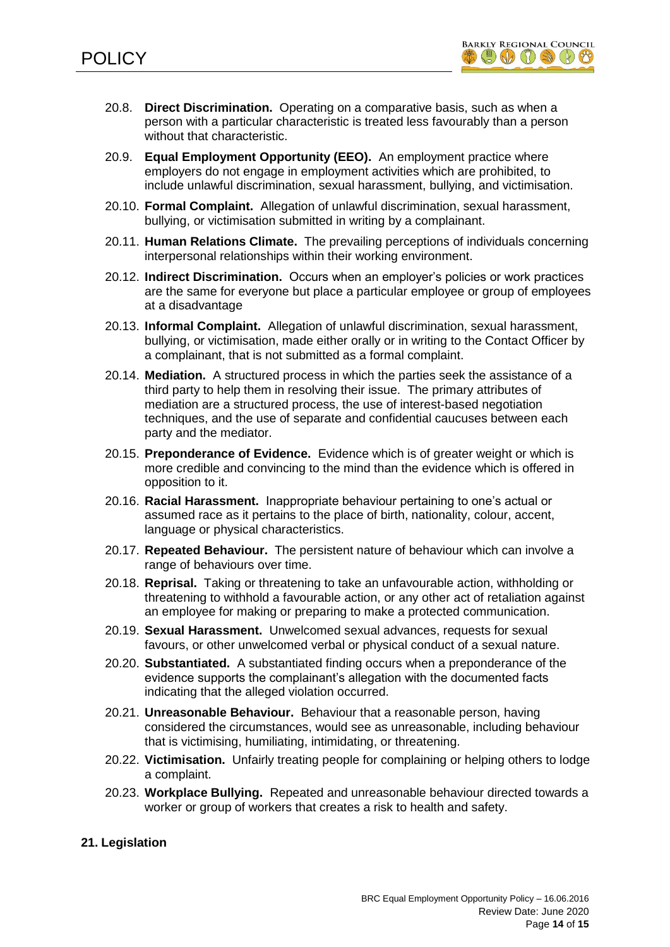

- 20.8. **Direct Discrimination.** Operating on a comparative basis, such as when a person with a particular characteristic is treated less favourably than a person without that characteristic.
- 20.9. **Equal Employment Opportunity (EEO).** An employment practice where employers do not engage in employment activities which are prohibited, to include unlawful discrimination, sexual harassment, bullying, and victimisation.
- 20.10. **Formal Complaint.** Allegation of unlawful discrimination, sexual harassment, bullying, or victimisation submitted in writing by a complainant.
- 20.11. **Human Relations Climate.** The prevailing perceptions of individuals concerning interpersonal relationships within their working environment.
- 20.12. **Indirect Discrimination.** Occurs when an employer's policies or work practices are the same for everyone but place a particular employee or group of employees at a disadvantage
- 20.13. **Informal Complaint.** Allegation of unlawful discrimination, sexual harassment, bullying, or victimisation, made either orally or in writing to the Contact Officer by a complainant, that is not submitted as a formal complaint.
- 20.14. **Mediation.** A structured process in which the parties seek the assistance of a third party to help them in resolving their issue. The primary attributes of mediation are a structured process, the use of interest-based negotiation techniques, and the use of separate and confidential caucuses between each party and the mediator.
- 20.15. **Preponderance of Evidence.** Evidence which is of greater weight or which is more credible and convincing to the mind than the evidence which is offered in opposition to it.
- 20.16. **Racial Harassment.** Inappropriate behaviour pertaining to one's actual or assumed race as it pertains to the place of birth, nationality, colour, accent, language or physical characteristics.
- 20.17. **Repeated Behaviour.** The persistent nature of behaviour which can involve a range of behaviours over time.
- 20.18. **Reprisal.** Taking or threatening to take an unfavourable action, withholding or threatening to withhold a favourable action, or any other act of retaliation against an employee for making or preparing to make a protected communication.
- 20.19. **Sexual Harassment.** Unwelcomed sexual advances, requests for sexual favours, or other unwelcomed verbal or physical conduct of a sexual nature.
- 20.20. **Substantiated.** A substantiated finding occurs when a preponderance of the evidence supports the complainant's allegation with the documented facts indicating that the alleged violation occurred.
- 20.21. **Unreasonable Behaviour.** Behaviour that a reasonable person, having considered the circumstances, would see as unreasonable, including behaviour that is victimising, humiliating, intimidating, or threatening.
- 20.22. **Victimisation.** Unfairly treating people for complaining or helping others to lodge a complaint.
- 20.23. **Workplace Bullying.** Repeated and unreasonable behaviour directed towards a worker or group of workers that creates a risk to health and safety.

## **21. Legislation**